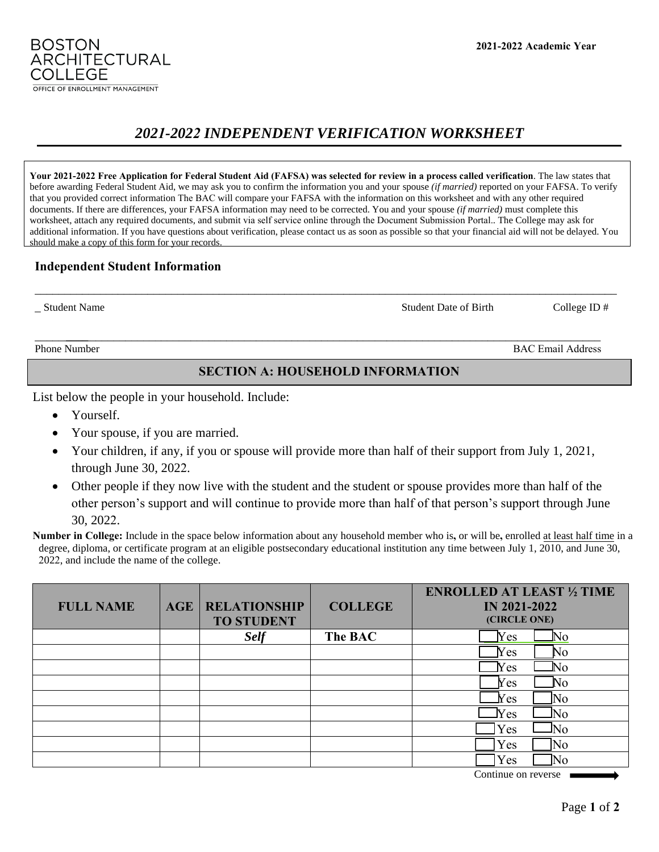#### **2021-2022 Academic Year**

# *2021-2022 INDEPENDENT VERIFICATION WORKSHEET*

**Your 2021-2022 Free Application for Federal Student Aid (FAFSA) was selected for review in a process called verification**. The law states that before awarding Federal Student Aid, we may ask you to confirm the information you and your spouse *(if married)* reported on your FAFSA. To verify that you provided correct information The BAC will compare your FAFSA with the information on this worksheet and with any other required documents. If there are differences, your FAFSA information may need to be corrected. You and your spouse *(if married)* must complete this worksheet, attach any required documents, and submit via self service online through the Document Submission Portal.. The College may ask for additional information. If you have questions about verification, please contact us as soon as possible so that your financial aid will not be delayed. You should make a copy of this form for your records.

## **Independent Student Information**

\_ Student Name Student Date of BirthCollege ID #

**BOSTON** 

COLLEGE

ARCHITECTURAL

Phone Number BAC Email Address

## **SECTION A: HOUSEHOLD INFORMATION**

List below the people in your household. Include:

- Yourself.
- Your spouse, if you are married.
- Your children, if any, if you or spouse will provide more than half of their support from July 1, 2021, through June 30, 2022.
- Other people if they now live with the student and the student or spouse provides more than half of the other person's support and will continue to provide more than half of that person's support through June 30, 2022.

**Number in College:** Include in the space below information about any household member who is**,** or will be**,** enrolled at least half time in a degree, diploma, or certificate program at an eligible postsecondary educational institution any time between July 1, 2010, and June 30, 2022, and include the name of the college.

| <b>FULL NAME</b> | <b>AGE</b> | <b>RELATIONSHIP</b><br><b>TO STUDENT</b> | <b>COLLEGE</b> | <b>ENROLLED AT LEAST 1/2 TIME</b><br><b>IN 2021-2022</b><br>(CIRCLE ONE) |
|------------------|------------|------------------------------------------|----------------|--------------------------------------------------------------------------|
|                  |            | <b>Self</b>                              | The BAC        | N <sub>O</sub><br>Yes                                                    |
|                  |            |                                          |                | No<br>Yes                                                                |
|                  |            |                                          |                | $N_{\rm O}$<br>Yes                                                       |
|                  |            |                                          |                | N <sub>O</sub><br>Yes                                                    |
|                  |            |                                          |                | lΝo<br>$N_{\rm CS}$                                                      |
|                  |            |                                          |                | N <sub>0</sub><br>$N_{\rm CS}$                                           |
|                  |            |                                          |                | lΝo<br>Yes                                                               |
|                  |            |                                          |                | No<br>Yes                                                                |
|                  |            |                                          |                | Yes<br>Nο                                                                |

Continue on reverse ■





\_\_\_\_\_\_\_\_\_ \_\_\_\_\_\_\_\_\_\_\_\_\_\_\_\_\_\_\_\_\_\_\_\_\_\_\_\_\_\_\_\_\_\_\_\_\_\_\_\_\_\_\_\_\_\_\_\_\_\_\_\_\_\_\_\_\_\_\_\_\_\_\_\_\_\_\_\_\_\_\_\_\_\_\_\_\_\_\_\_\_\_\_\_\_\_\_\_\_\_